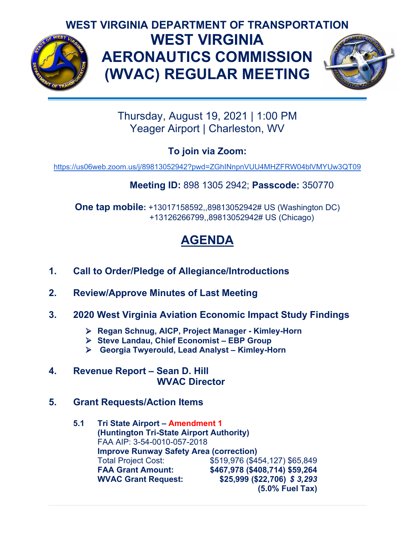

## **WEST VIRGINIA DEPARTMENT OF TRANSPORTATION WEST VIRGINIA AERONAUTICS COMMISSION (WVAC) REGULAR MEETING**



Thursday, August 19, 2021 | 1:00 PM Yeager Airport | Charleston, WV

**To join via Zoom:** 

<https://us06web.zoom.us/j/89813052942?pwd=ZGhINnpnVUU4MHZFRW04blVMYUw3QT09>

#### **Meeting ID:** 898 1305 2942; **Passcode:** 350770

**One tap mobile:** +13017158592,,89813052942# US (Washington DC) +13126266799,,89813052942# US (Chicago)

# **AGENDA**

- **1. Call to Order/Pledge of Allegiance/Introductions**
- **2. Review/Approve Minutes of Last Meeting**
- **3. 2020 West Virginia Aviation Economic Impact Study Findings**
	- **Regan Schnug, AICP, Project Manager - Kimley-Horn**
	- **Steve Landau, Chief Economist – EBP Group**
	- **Georgia Twyerould, Lead Analyst – Kimley-Horn**
- **4. Revenue Report – Sean D. Hill WVAC Director**
- **5. Grant Requests/Action Items**
	- **5.1 Tri State Airport – Amendment 1 (Huntington Tri-State Airport Authority)** FAA AIP: 3-54-0010-057-2018 **Improve Runway Safety Area (correction)**<br>Total Project Cost: \$519,976 (\$49) Total Project Cost: \$519,976 (\$454,127) \$65,849<br>
	FAA Grant Amount: \$467.978 (\$408.714) \$59.264 **FAA Grant Amount: \$467,978 (\$408,714) \$59,264 WVAC Grant Request: \$25,999 (\$22,706)** *\$ 3,293* **(5.0% Fuel Tax)**